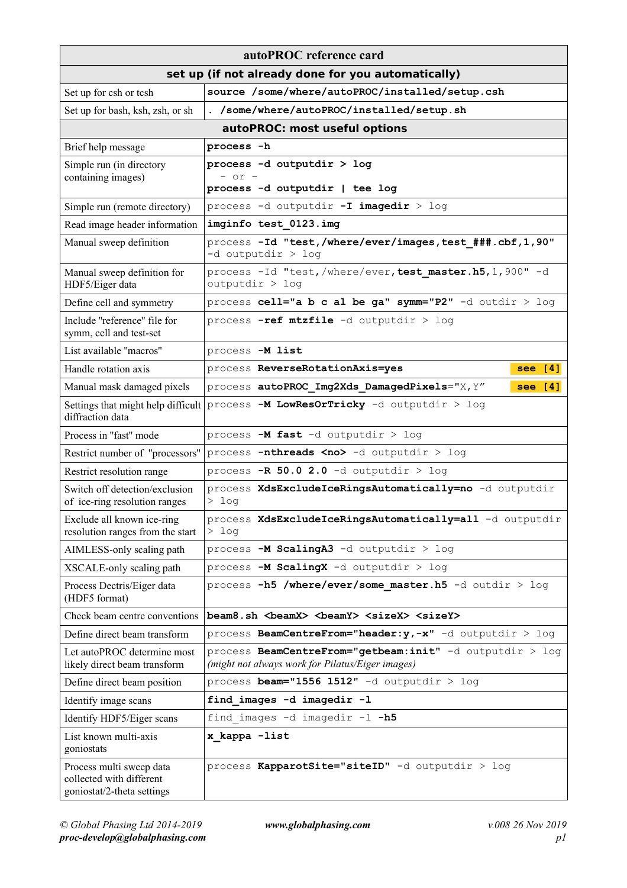| autoPROC reference card                                                            |                                                                                                              |  |
|------------------------------------------------------------------------------------|--------------------------------------------------------------------------------------------------------------|--|
| set up (if not already done for you automatically)                                 |                                                                                                              |  |
| Set up for csh or tcsh                                                             | source /some/where/autoPROC/installed/setup.csh                                                              |  |
| Set up for bash, ksh, zsh, or sh                                                   | . /some/where/autoPROC/installed/setup.sh                                                                    |  |
| autoPROC: most useful options                                                      |                                                                                                              |  |
| Brief help message                                                                 | process -h                                                                                                   |  |
| Simple run (in directory                                                           | process -d outputdir > log                                                                                   |  |
| containing images)                                                                 | $-$ or $-$<br>process -d outputdir   tee log                                                                 |  |
| Simple run (remote directory)                                                      | process -d outputdir -I imagedir > log                                                                       |  |
| Read image header information                                                      | imginfo test 0123. img                                                                                       |  |
| Manual sweep definition                                                            | process -Id "test, /where/ever/images, test ###.cbf, 1, 90"<br>$-d$ outputdir $>$ log                        |  |
| Manual sweep definition for<br>HDF5/Eiger data                                     | process -Id "test, /where/ever, test master.h5, 1, 900" -d<br>outputdir > log                                |  |
| Define cell and symmetry                                                           | process cell="a b c al be ga" symm="P2" -d outdir > log                                                      |  |
| Include "reference" file for<br>symm, cell and test-set                            | process -ref mtzfile -d outputdir > log                                                                      |  |
| List available "macros"                                                            | process -M list                                                                                              |  |
| Handle rotation axis                                                               | process ReverseRotationAxis=yes<br>see $[4]$                                                                 |  |
| Manual mask damaged pixels                                                         | process autoPROC Img2Xds DamagedPixels="X, Y"<br>see [4]                                                     |  |
| diffraction data                                                                   | Settings that might help difficult process -M LowResOrTricky -d outputdir > log                              |  |
| Process in "fast" mode                                                             | process $-M$ fast $-d$ outputdir $>$ log                                                                     |  |
| Restrict number of "processors"                                                    | process -nthreads <no> -d outputdir &gt; log</no>                                                            |  |
| Restrict resolution range                                                          | process $-R$ 50.0 2.0 -d outputdir > log                                                                     |  |
| Switch off detection/exclusion<br>of ice-ring resolution ranges                    | process XdsExcludeIceRingsAutomatically=no -d outputdir<br>$>$ log                                           |  |
| Exclude all known ice-ring<br>resolution ranges from the start                     | process XdsExcludeIceRingsAutomatically=all -d outputdir<br>$>$ log                                          |  |
| AIMLESS-only scaling path                                                          | process -M ScalingA3 -d outputdir > log                                                                      |  |
| XSCALE-only scaling path                                                           | process -M ScalingX -d outputdir > log                                                                       |  |
| Process Dectris/Eiger data<br>(HDF5 format)                                        | process -h5 /where/ever/some master.h5 -d outdir > $log$                                                     |  |
| Check beam centre conventions                                                      | beam8.sh<br>beamX><br>beamY> <sizex> <sizey></sizey></sizex>                                                 |  |
| Define direct beam transform                                                       | process BeamCentreFrom="header: y,-x" -d outputdir > log                                                     |  |
| Let autoPROC determine most<br>likely direct beam transform                        | process BeamCentreFrom="getbeam:init" -d outputdir > log<br>(might not always work for Pilatus/Eiger images) |  |
| Define direct beam position                                                        | process beam="1556 1512" -d outputdir > log                                                                  |  |
| Identify image scans                                                               | find images -d imagedir -l                                                                                   |  |
| Identify HDF5/Eiger scans                                                          | find images -d imagedir -1 -h5                                                                               |  |
| List known multi-axis<br>goniostats                                                | x kappa -list                                                                                                |  |
| Process multi sweep data<br>collected with different<br>goniostat/2-theta settings | process KapparotSite="siteID" -d outputdir > log                                                             |  |